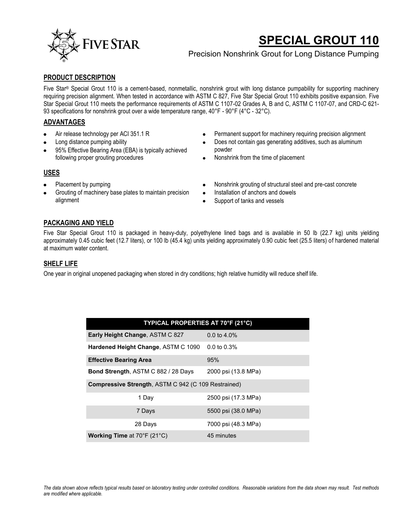

# **SPECIAL GROUT 110**

# Precision Nonshrink Grout for Long Distance Pumping

#### **PRODUCT DESCRIPTION**

Five Star® Special Grout 110 is a cement-based, nonmetallic, nonshrink grout with long distance pumpability for supporting machinery requiring precision alignment. When tested in accordance with ASTM C 827, Five Star Special Grout 110 exhibits positive expansion. Five Star Special Grout 110 meets the performance requirements of ASTM C 1107-02 Grades A, B and C, ASTM C 1107-07, and CRD-C 621- 93 specifications for nonshrink grout over a wide temperature range, 40°F - 90°F (4°C - 32°C).

#### **ADVANTAGES**

- Air release technology per ACI 351.1 R
- Long distance pumping ability
- 95% Effective Bearing Area (EBA) is typically achieved following proper grouting procedures
- Permanent support for machinery requiring precision alignment
- Does not contain gas generating additives, such as aluminum powder
- Nonshrink from the time of placement

#### **USES**

- Placement by pumping
- Grouting of machinery base plates to maintain precision alignment
- Nonshrink grouting of structural steel and pre-cast concrete  $\bullet$
- Installation of anchors and dowels  $\bullet$
- Support of tanks and vessels

#### **PACKAGING AND YIELD**

Five Star Special Grout 110 is packaged in heavy-duty, polyethylene lined bags and is available in 50 lb (22.7 kg) units yielding approximately 0.45 cubic feet (12.7 liters), or 100 lb (45.4 kg) units yielding approximately 0.90 cubic feet (25.5 liters) of hardened material at maximum water content.

#### **SHELF LIFE**

One year in original unopened packaging when stored in dry conditions; high relative humidity will reduce shelf life.

| TYPICAL PROPERTIES AT 70°F (21°C)                          |                         |
|------------------------------------------------------------|-------------------------|
| Early Height Change, ASTM C 827                            | $0.0 \text{ to } 4.0\%$ |
| Hardened Height Change, ASTM C 1090                        | $0.0 \text{ to } 0.3\%$ |
| <b>Effective Bearing Area</b>                              | 95%                     |
| <b>Bond Strength, ASTM C 882 / 28 Days</b>                 | 2000 psi (13.8 MPa)     |
| <b>Compressive Strength, ASTM C 942 (C 109 Restrained)</b> |                         |
| 1 Day                                                      | 2500 psi (17.3 MPa)     |
| 7 Days                                                     | 5500 psi (38.0 MPa)     |
| 28 Days                                                    | 7000 psi (48.3 MPa)     |
| <b>Working Time at 70°F (21°C)</b>                         | 45 minutes              |